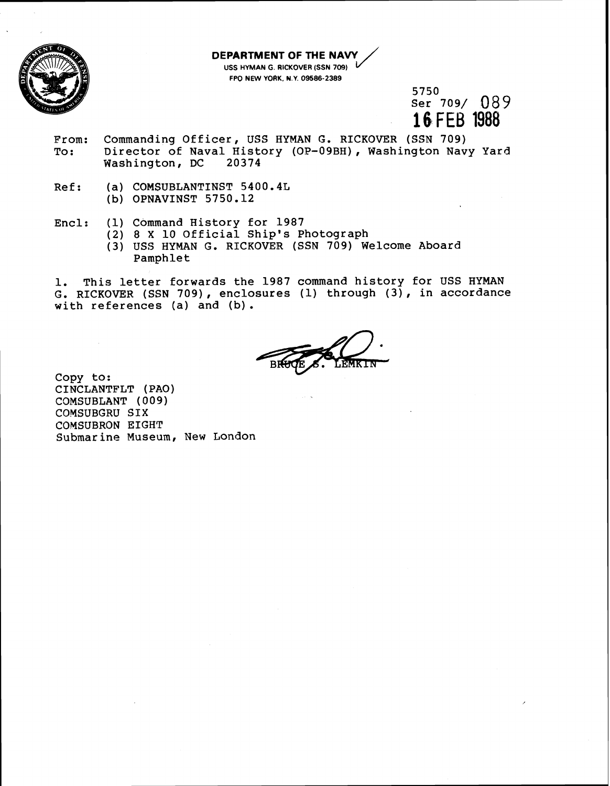

## **DEPARTMENT OF THE NAW**   $\overline{1}$

**USS HYMAN G. RICKOVER (SSN 709) FPO NEW YORK, N.Y. 09586-2389** 

> 5750 Ser 709/ 089 16 FEB 1988

- From: Commanding Officer, USS HYMAN G. RICKOVER (SSN 709) To: Director of Naval History (OP-09BH), Washington Navy Yard Washington, DC
- Ref: (a) COMSUBLANTINST 5400.4L (b) OPNAVINST 5750.12
- Encl: (1) Command History for 1987
	- (2) 8 **X** 10 Official Ship's Photograph
	- (3) USS HYMAN G. RICKOVER (SSN 709) Welcome Aboard Pamphlet

1. This letter forwards the 1987 command history for USS HYMAN G. RICKOVER (SSN 709), enclosures (1) through **(3),** in accordance with references (a) and (b) .

Copy to: CINCLANTPLT (PAO) COMSUBLANT ( **00** 9) COMSUBGRU SIX COMSUBRON EIGHT Submarine Museum, New London